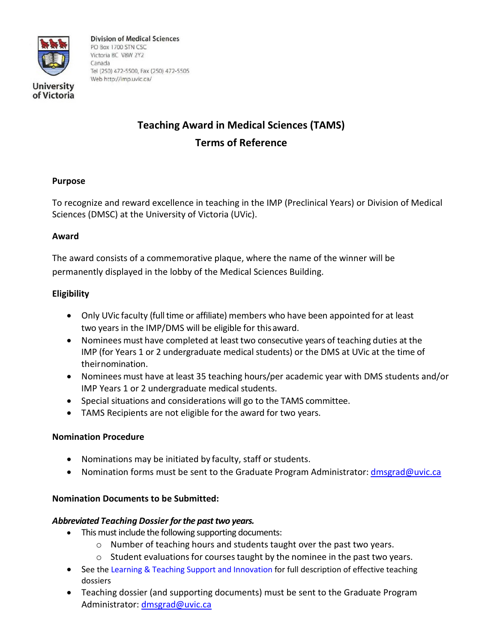

of Victoria

**Division of Medical Sciences** PO Box 1700 STN CSC Victoria BC V8W 2Y2 Canada Tel (250) 472-5500, Fax (250) 472-5505 Web http://imp.uvic.ca/

# **Teaching Award in Medical Sciences (TAMS) Terms of Reference**

## **Purpose**

To recognize and reward excellence in teaching in the IMP (Preclinical Years) or Division of Medical Sciences (DMSC) at the University of Victoria (UVic).

#### **Award**

The award consists of a commemorative plaque, where the name of the winner will be permanently displayed in the lobby of the Medical Sciences Building.

## **Eligibility**

- Only UVic faculty (full time or affiliate) members who have been appointed for at least two years in the IMP/DMS will be eligible for thisaward.
- Nominees must have completed at least two consecutive years of teaching duties at the IMP (for Years 1 or 2 undergraduate medical students) or the DMS at UVic at the time of theirnomination.
- Nominees must have at least 35 teaching hours/per academic year with DMS students and/or IMP Years 1 or 2 undergraduate medical students.
- Special situations and considerations will go to the TAMS committee.
- TAMS Recipients are not eligible for the award for two years.

#### **Nomination Procedure**

- Nominations may be initiated by faculty, staff or students.
- Nomination forms must be sent to the Graduate Program Administrator: [dmsgrad@uvic.ca](mailto:dmsgrad@uvic.ca)

# **Nomination Documents to be Submitted:**

#### *Abbreviated Teaching Dossier for the past two years.*

- This must include the following supporting documents:
	- o Number of teaching hours and students taught over the past two years.
	- $\circ$  Student evaluations for courses taught by the nominee in the past two years.
- See th[e Learning & Teaching Support and Innovation f](https://www.uvic.ca/learningandteaching/faculty/resources/dossier/index.php)or full description of effective teaching dossiers
- Teaching dossier (and supporting documents) must be sent to the Graduate Program Administrator: [dmsgrad@uvic.ca](mailto:dmsgrad@uvic.ca)